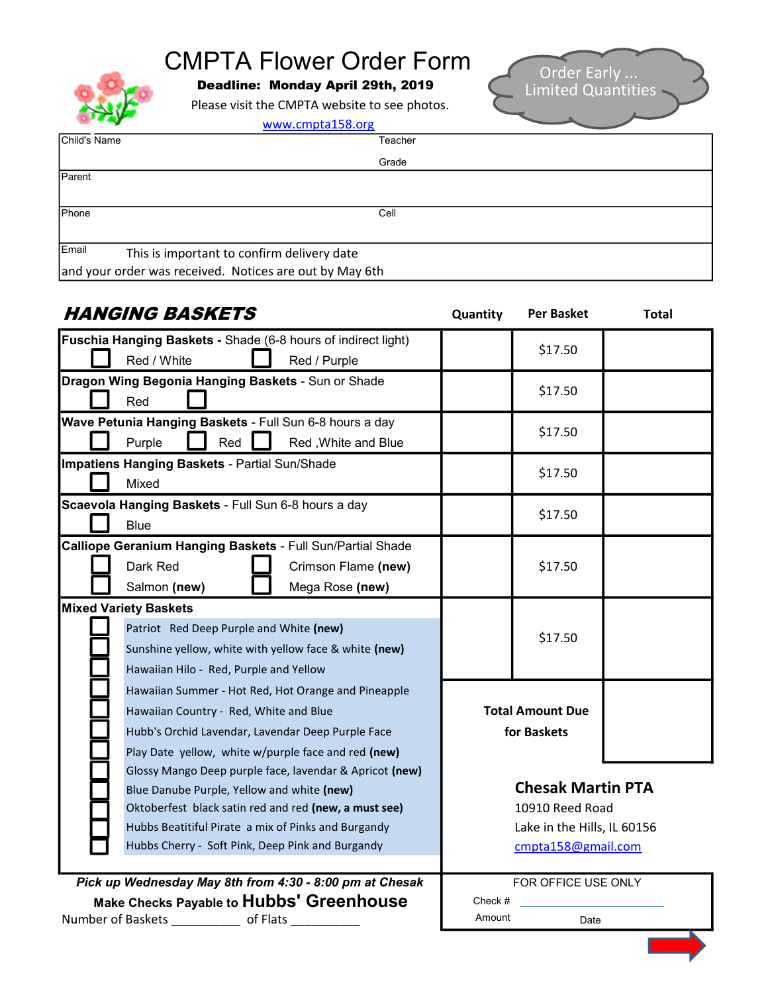## CMPTA Flower Order Form

Deadline: Monday April 29th, 2019

Please visit the CMPTA website to see photos.



| .            | www.cmpta158.org                                        |         |
|--------------|---------------------------------------------------------|---------|
| Child's Name |                                                         | Teacher |
|              |                                                         | Grade   |
| Parent       |                                                         |         |
|              |                                                         |         |
| Phone        |                                                         | Cell    |
| Email        | This is important to confirm delivery date              |         |
|              | and your order was received. Notices are out by May 6th |         |

| Quantity                    | <b>Per Basket</b> | <b>Total</b>                                                                                                     |
|-----------------------------|-------------------|------------------------------------------------------------------------------------------------------------------|
|                             |                   |                                                                                                                  |
|                             |                   |                                                                                                                  |
|                             |                   |                                                                                                                  |
|                             |                   |                                                                                                                  |
|                             |                   |                                                                                                                  |
|                             |                   |                                                                                                                  |
|                             |                   |                                                                                                                  |
|                             |                   |                                                                                                                  |
|                             |                   |                                                                                                                  |
|                             |                   |                                                                                                                  |
|                             |                   |                                                                                                                  |
|                             | \$17.50           |                                                                                                                  |
|                             |                   |                                                                                                                  |
|                             |                   |                                                                                                                  |
|                             |                   |                                                                                                                  |
|                             |                   |                                                                                                                  |
|                             |                   |                                                                                                                  |
|                             |                   |                                                                                                                  |
|                             |                   |                                                                                                                  |
| for Baskets                 |                   |                                                                                                                  |
|                             |                   |                                                                                                                  |
|                             |                   |                                                                                                                  |
| <b>Chesak Martin PTA</b>    |                   |                                                                                                                  |
| 10910 Reed Road             |                   |                                                                                                                  |
| Lake in the Hills, IL 60156 |                   |                                                                                                                  |
| cmpta158@gmail.com          |                   |                                                                                                                  |
|                             |                   |                                                                                                                  |
|                             |                   |                                                                                                                  |
| Amount                      | Date              |                                                                                                                  |
|                             | Check #           | \$17.50<br>\$17.50<br>\$17.50<br>\$17.50<br>\$17.50<br>\$17.50<br><b>Total Amount Due</b><br>FOR OFFICE USE ONLY |